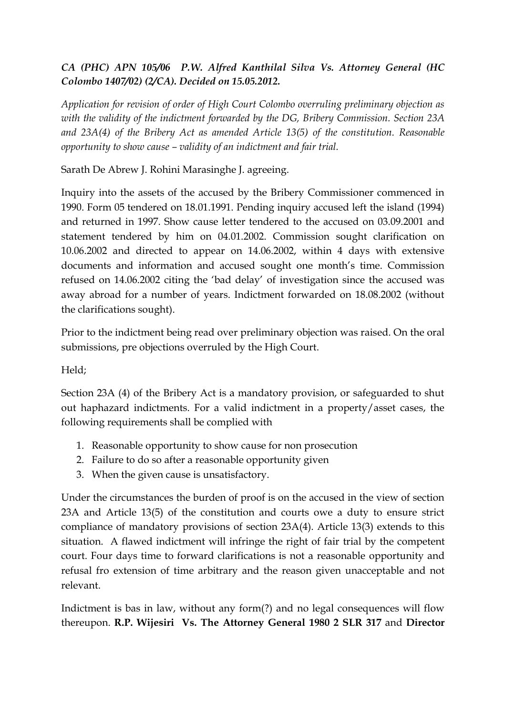## *CA (PHC) APN 105/06 P.W. Alfred Kanthilal Silva Vs. Attorney General (HC Colombo 1407/02) (2/CA). Decided on 15.05.2012.*

*Application for revision of order of High Court Colombo overruling preliminary objection as with the validity of the indictment forwarded by the DG, Bribery Commission. Section 23A and 23A(4) of the Bribery Act as amended Article 13(5) of the constitution. Reasonable opportunity to show cause – validity of an indictment and fair trial.*

Sarath De Abrew J. Rohini Marasinghe J. agreeing.

Inquiry into the assets of the accused by the Bribery Commissioner commenced in 1990. Form 05 tendered on 18.01.1991. Pending inquiry accused left the island (1994) and returned in 1997. Show cause letter tendered to the accused on 03.09.2001 and statement tendered by him on 04.01.2002. Commission sought clarification on 10.06.2002 and directed to appear on 14.06.2002, within 4 days with extensive documents and information and accused sought one month's time. Commission refused on 14.06.2002 citing the 'bad delay' of investigation since the accused was away abroad for a number of years. Indictment forwarded on 18.08.2002 (without the clarifications sought).

Prior to the indictment being read over preliminary objection was raised. On the oral submissions, pre objections overruled by the High Court.

## Held;

Section 23A (4) of the Bribery Act is a mandatory provision, or safeguarded to shut out haphazard indictments. For a valid indictment in a property/asset cases, the following requirements shall be complied with

- 1. Reasonable opportunity to show cause for non prosecution
- 2. Failure to do so after a reasonable opportunity given
- 3. When the given cause is unsatisfactory.

Under the circumstances the burden of proof is on the accused in the view of section 23A and Article 13(5) of the constitution and courts owe a duty to ensure strict compliance of mandatory provisions of section 23A(4). Article 13(3) extends to this situation. A flawed indictment will infringe the right of fair trial by the competent court. Four days time to forward clarifications is not a reasonable opportunity and refusal fro extension of time arbitrary and the reason given unacceptable and not relevant.

Indictment is bas in law, without any form(?) and no legal consequences will flow thereupon. **R.P. Wijesiri Vs. The Attorney General 1980 2 SLR 317** and **Director**